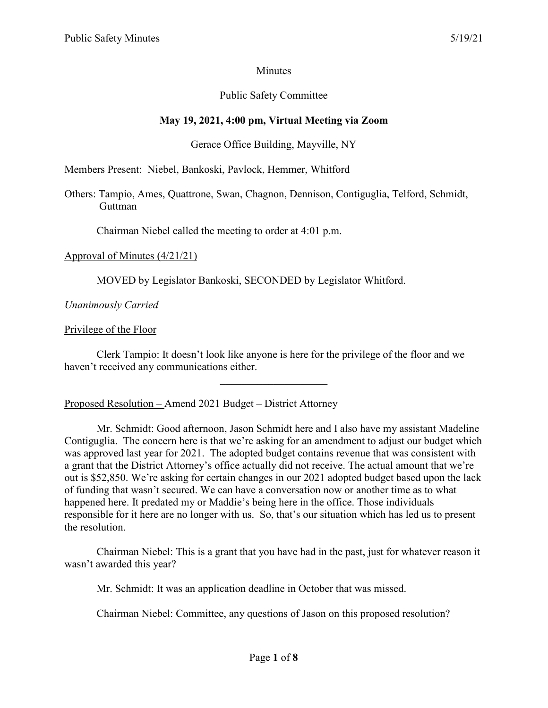### **Minutes**

### Public Safety Committee

### **May 19, 2021, 4:00 pm, Virtual Meeting via Zoom**

### Gerace Office Building, Mayville, NY

Members Present: Niebel, Bankoski, Pavlock, Hemmer, Whitford

Others: Tampio, Ames, Quattrone, Swan, Chagnon, Dennison, Contiguglia, Telford, Schmidt, Guttman

Chairman Niebel called the meeting to order at 4:01 p.m.

#### Approval of Minutes (4/21/21)

MOVED by Legislator Bankoski, SECONDED by Legislator Whitford.

*Unanimously Carried*

#### Privilege of the Floor

Clerk Tampio: It doesn't look like anyone is here for the privilege of the floor and we haven't received any communications either.

Proposed Resolution – Amend 2021 Budget – District Attorney

Mr. Schmidt: Good afternoon, Jason Schmidt here and I also have my assistant Madeline Contiguglia. The concern here is that we're asking for an amendment to adjust our budget which was approved last year for 2021. The adopted budget contains revenue that was consistent with a grant that the District Attorney's office actually did not receive. The actual amount that we're out is \$52,850. We're asking for certain changes in our 2021 adopted budget based upon the lack of funding that wasn't secured. We can have a conversation now or another time as to what happened here. It predated my or Maddie's being here in the office. Those individuals responsible for it here are no longer with us. So, that's our situation which has led us to present the resolution.

Chairman Niebel: This is a grant that you have had in the past, just for whatever reason it wasn't awarded this year?

Mr. Schmidt: It was an application deadline in October that was missed.

Chairman Niebel: Committee, any questions of Jason on this proposed resolution?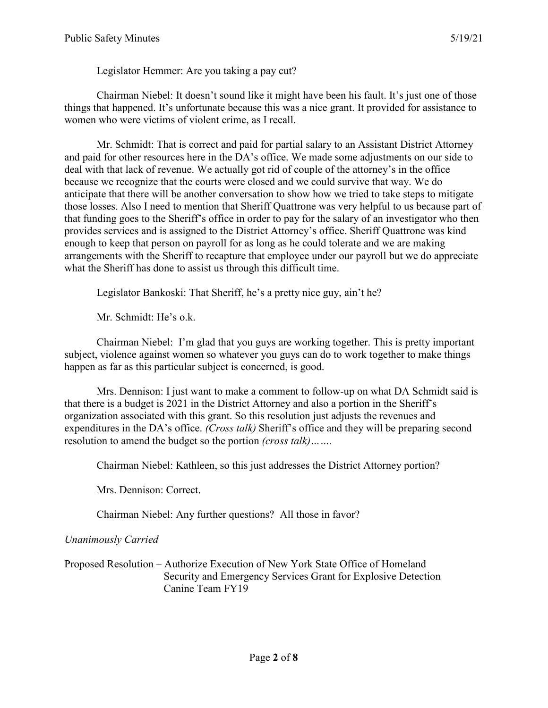Legislator Hemmer: Are you taking a pay cut?

Chairman Niebel: It doesn't sound like it might have been his fault. It's just one of those things that happened. It's unfortunate because this was a nice grant. It provided for assistance to women who were victims of violent crime, as I recall.

Mr. Schmidt: That is correct and paid for partial salary to an Assistant District Attorney and paid for other resources here in the DA's office. We made some adjustments on our side to deal with that lack of revenue. We actually got rid of couple of the attorney's in the office because we recognize that the courts were closed and we could survive that way. We do anticipate that there will be another conversation to show how we tried to take steps to mitigate those losses. Also I need to mention that Sheriff Quattrone was very helpful to us because part of that funding goes to the Sheriff's office in order to pay for the salary of an investigator who then provides services and is assigned to the District Attorney's office. Sheriff Quattrone was kind enough to keep that person on payroll for as long as he could tolerate and we are making arrangements with the Sheriff to recapture that employee under our payroll but we do appreciate what the Sheriff has done to assist us through this difficult time.

Legislator Bankoski: That Sheriff, he's a pretty nice guy, ain't he?

Mr. Schmidt: He's o.k.

Chairman Niebel: I'm glad that you guys are working together. This is pretty important subject, violence against women so whatever you guys can do to work together to make things happen as far as this particular subject is concerned, is good.

Mrs. Dennison: I just want to make a comment to follow-up on what DA Schmidt said is that there is a budget is 2021 in the District Attorney and also a portion in the Sheriff's organization associated with this grant. So this resolution just adjusts the revenues and expenditures in the DA's office. *(Cross talk)* Sheriff's office and they will be preparing second resolution to amend the budget so the portion *(cross talk)…….*

Chairman Niebel: Kathleen, so this just addresses the District Attorney portion?

Mrs. Dennison: Correct.

Chairman Niebel: Any further questions? All those in favor?

*Unanimously Carried*

Proposed Resolution – Authorize Execution of New York State Office of Homeland Security and Emergency Services Grant for Explosive Detection Canine Team FY19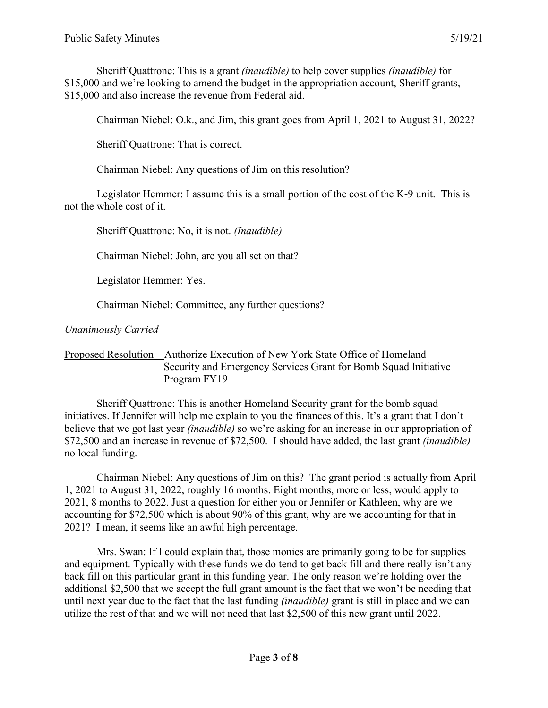Sheriff Quattrone: This is a grant *(inaudible)* to help cover supplies *(inaudible)* for \$15,000 and we're looking to amend the budget in the appropriation account, Sheriff grants, \$15,000 and also increase the revenue from Federal aid.

Chairman Niebel: O.k., and Jim, this grant goes from April 1, 2021 to August 31, 2022?

Sheriff Quattrone: That is correct.

Chairman Niebel: Any questions of Jim on this resolution?

Legislator Hemmer: I assume this is a small portion of the cost of the K-9 unit. This is not the whole cost of it.

Sheriff Quattrone: No, it is not. *(Inaudible)*

Chairman Niebel: John, are you all set on that?

Legislator Hemmer: Yes.

Chairman Niebel: Committee, any further questions?

*Unanimously Carried*

### Proposed Resolution – Authorize Execution of New York State Office of Homeland Security and Emergency Services Grant for Bomb Squad Initiative Program FY19

Sheriff Quattrone: This is another Homeland Security grant for the bomb squad initiatives. If Jennifer will help me explain to you the finances of this. It's a grant that I don't believe that we got last year *(inaudible)* so we're asking for an increase in our appropriation of \$72,500 and an increase in revenue of \$72,500. I should have added, the last grant *(inaudible)* no local funding.

Chairman Niebel: Any questions of Jim on this? The grant period is actually from April 1, 2021 to August 31, 2022, roughly 16 months. Eight months, more or less, would apply to 2021, 8 months to 2022. Just a question for either you or Jennifer or Kathleen, why are we accounting for \$72,500 which is about 90% of this grant, why are we accounting for that in 2021? I mean, it seems like an awful high percentage.

Mrs. Swan: If I could explain that, those monies are primarily going to be for supplies and equipment. Typically with these funds we do tend to get back fill and there really isn't any back fill on this particular grant in this funding year. The only reason we're holding over the additional \$2,500 that we accept the full grant amount is the fact that we won't be needing that until next year due to the fact that the last funding *(inaudible)* grant is still in place and we can utilize the rest of that and we will not need that last \$2,500 of this new grant until 2022.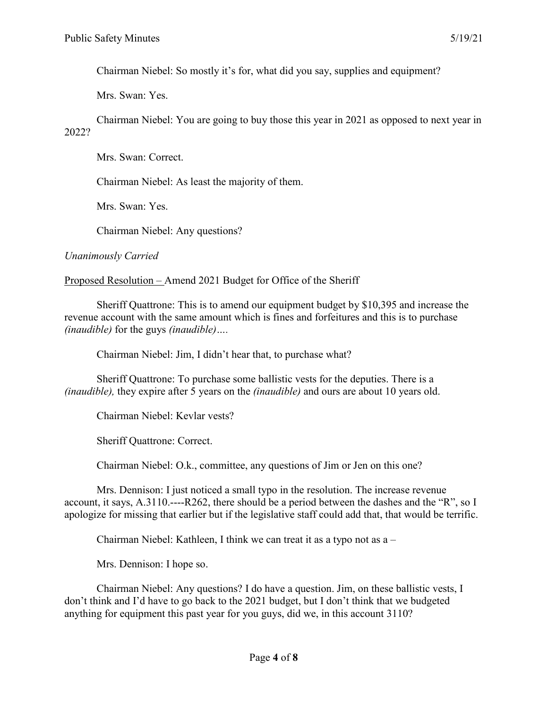Chairman Niebel: So mostly it's for, what did you say, supplies and equipment?

Mrs. Swan: Yes.

Chairman Niebel: You are going to buy those this year in 2021 as opposed to next year in 2022?

Mrs. Swan: Correct.

Chairman Niebel: As least the majority of them.

Mrs. Swan: Yes.

Chairman Niebel: Any questions?

*Unanimously Carried*

Proposed Resolution – Amend 2021 Budget for Office of the Sheriff

Sheriff Quattrone: This is to amend our equipment budget by \$10,395 and increase the revenue account with the same amount which is fines and forfeitures and this is to purchase *(inaudible)* for the guys *(inaudible)….*

Chairman Niebel: Jim, I didn't hear that, to purchase what?

Sheriff Quattrone: To purchase some ballistic vests for the deputies. There is a *(inaudible),* they expire after 5 years on the *(inaudible)* and ours are about 10 years old.

Chairman Niebel: Kevlar vests?

Sheriff Quattrone: Correct.

Chairman Niebel: O.k., committee, any questions of Jim or Jen on this one?

Mrs. Dennison: I just noticed a small typo in the resolution. The increase revenue account, it says, A.3110.----R262, there should be a period between the dashes and the "R", so I apologize for missing that earlier but if the legislative staff could add that, that would be terrific.

Chairman Niebel: Kathleen, I think we can treat it as a typo not as a –

Mrs. Dennison: I hope so.

Chairman Niebel: Any questions? I do have a question. Jim, on these ballistic vests, I don't think and I'd have to go back to the 2021 budget, but I don't think that we budgeted anything for equipment this past year for you guys, did we, in this account 3110?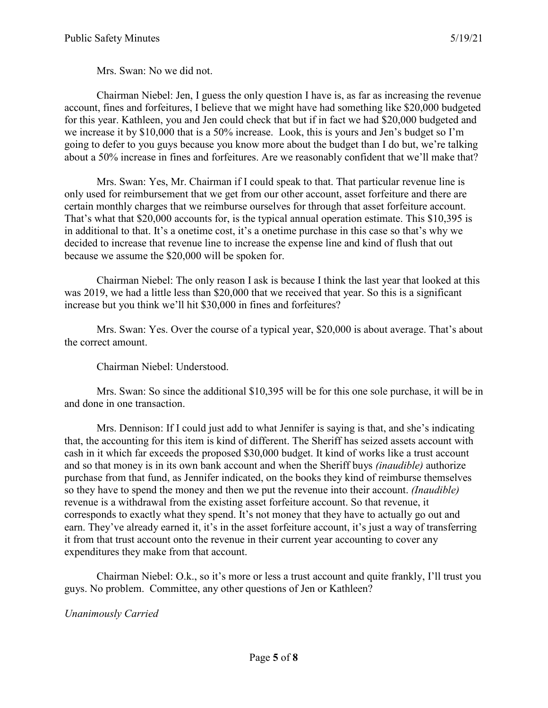Mrs. Swan: No we did not.

Chairman Niebel: Jen, I guess the only question I have is, as far as increasing the revenue account, fines and forfeitures, I believe that we might have had something like \$20,000 budgeted for this year. Kathleen, you and Jen could check that but if in fact we had \$20,000 budgeted and we increase it by \$10,000 that is a 50% increase. Look, this is yours and Jen's budget so I'm going to defer to you guys because you know more about the budget than I do but, we're talking about a 50% increase in fines and forfeitures. Are we reasonably confident that we'll make that?

Mrs. Swan: Yes, Mr. Chairman if I could speak to that. That particular revenue line is only used for reimbursement that we get from our other account, asset forfeiture and there are certain monthly charges that we reimburse ourselves for through that asset forfeiture account. That's what that \$20,000 accounts for, is the typical annual operation estimate. This \$10,395 is in additional to that. It's a onetime cost, it's a onetime purchase in this case so that's why we decided to increase that revenue line to increase the expense line and kind of flush that out because we assume the \$20,000 will be spoken for.

Chairman Niebel: The only reason I ask is because I think the last year that looked at this was 2019, we had a little less than \$20,000 that we received that year. So this is a significant increase but you think we'll hit \$30,000 in fines and forfeitures?

Mrs. Swan: Yes. Over the course of a typical year, \$20,000 is about average. That's about the correct amount.

## Chairman Niebel: Understood.

Mrs. Swan: So since the additional \$10,395 will be for this one sole purchase, it will be in and done in one transaction.

Mrs. Dennison: If I could just add to what Jennifer is saying is that, and she's indicating that, the accounting for this item is kind of different. The Sheriff has seized assets account with cash in it which far exceeds the proposed \$30,000 budget. It kind of works like a trust account and so that money is in its own bank account and when the Sheriff buys *(inaudible)* authorize purchase from that fund, as Jennifer indicated, on the books they kind of reimburse themselves so they have to spend the money and then we put the revenue into their account. *(Inaudible)* revenue is a withdrawal from the existing asset forfeiture account. So that revenue, it corresponds to exactly what they spend. It's not money that they have to actually go out and earn. They've already earned it, it's in the asset forfeiture account, it's just a way of transferring it from that trust account onto the revenue in their current year accounting to cover any expenditures they make from that account.

Chairman Niebel: O.k., so it's more or less a trust account and quite frankly, I'll trust you guys. No problem. Committee, any other questions of Jen or Kathleen?

#### *Unanimously Carried*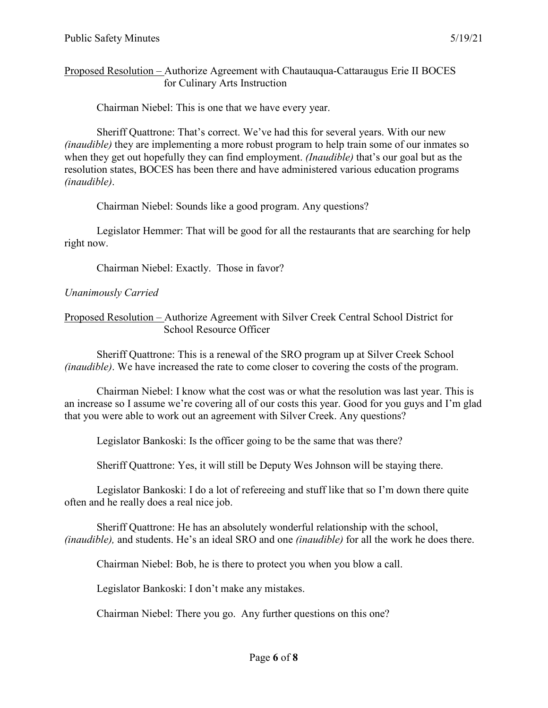### Proposed Resolution – Authorize Agreement with Chautauqua-Cattaraugus Erie II BOCES for Culinary Arts Instruction

Chairman Niebel: This is one that we have every year.

Sheriff Quattrone: That's correct. We've had this for several years. With our new *(inaudible)* they are implementing a more robust program to help train some of our inmates so when they get out hopefully they can find employment. *(Inaudible)* that's our goal but as the resolution states, BOCES has been there and have administered various education programs *(inaudible)*.

Chairman Niebel: Sounds like a good program. Any questions?

Legislator Hemmer: That will be good for all the restaurants that are searching for help right now.

Chairman Niebel: Exactly. Those in favor?

# *Unanimously Carried*

Proposed Resolution – Authorize Agreement with Silver Creek Central School District for School Resource Officer

Sheriff Quattrone: This is a renewal of the SRO program up at Silver Creek School *(inaudible)*. We have increased the rate to come closer to covering the costs of the program.

Chairman Niebel: I know what the cost was or what the resolution was last year. This is an increase so I assume we're covering all of our costs this year. Good for you guys and I'm glad that you were able to work out an agreement with Silver Creek. Any questions?

Legislator Bankoski: Is the officer going to be the same that was there?

Sheriff Quattrone: Yes, it will still be Deputy Wes Johnson will be staying there.

Legislator Bankoski: I do a lot of refereeing and stuff like that so I'm down there quite often and he really does a real nice job.

Sheriff Quattrone: He has an absolutely wonderful relationship with the school, *(inaudible),* and students. He's an ideal SRO and one *(inaudible)* for all the work he does there.

Chairman Niebel: Bob, he is there to protect you when you blow a call.

Legislator Bankoski: I don't make any mistakes.

Chairman Niebel: There you go. Any further questions on this one?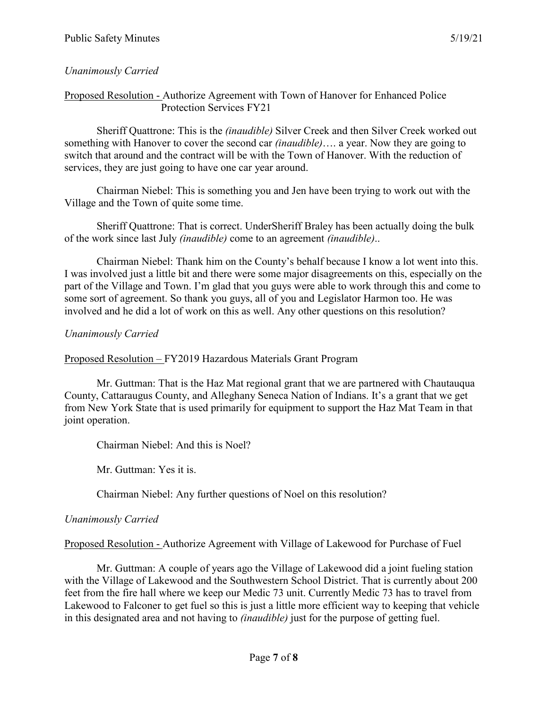### *Unanimously Carried*

#### Proposed Resolution - Authorize Agreement with Town of Hanover for Enhanced Police Protection Services FY21

Sheriff Quattrone: This is the *(inaudible)* Silver Creek and then Silver Creek worked out something with Hanover to cover the second car *(inaudible)*…. a year. Now they are going to switch that around and the contract will be with the Town of Hanover. With the reduction of services, they are just going to have one car year around.

Chairman Niebel: This is something you and Jen have been trying to work out with the Village and the Town of quite some time.

Sheriff Quattrone: That is correct. UnderSheriff Braley has been actually doing the bulk of the work since last July *(inaudible)* come to an agreement *(inaudible)*..

Chairman Niebel: Thank him on the County's behalf because I know a lot went into this. I was involved just a little bit and there were some major disagreements on this, especially on the part of the Village and Town. I'm glad that you guys were able to work through this and come to some sort of agreement. So thank you guys, all of you and Legislator Harmon too. He was involved and he did a lot of work on this as well. Any other questions on this resolution?

#### *Unanimously Carried*

Proposed Resolution – FY2019 Hazardous Materials Grant Program

Mr. Guttman: That is the Haz Mat regional grant that we are partnered with Chautauqua County, Cattaraugus County, and Alleghany Seneca Nation of Indians. It's a grant that we get from New York State that is used primarily for equipment to support the Haz Mat Team in that joint operation.

Chairman Niebel: And this is Noel?

Mr. Guttman: Yes it is.

Chairman Niebel: Any further questions of Noel on this resolution?

#### *Unanimously Carried*

Proposed Resolution - Authorize Agreement with Village of Lakewood for Purchase of Fuel

Mr. Guttman: A couple of years ago the Village of Lakewood did a joint fueling station with the Village of Lakewood and the Southwestern School District. That is currently about 200 feet from the fire hall where we keep our Medic 73 unit. Currently Medic 73 has to travel from Lakewood to Falconer to get fuel so this is just a little more efficient way to keeping that vehicle in this designated area and not having to *(inaudible)* just for the purpose of getting fuel.